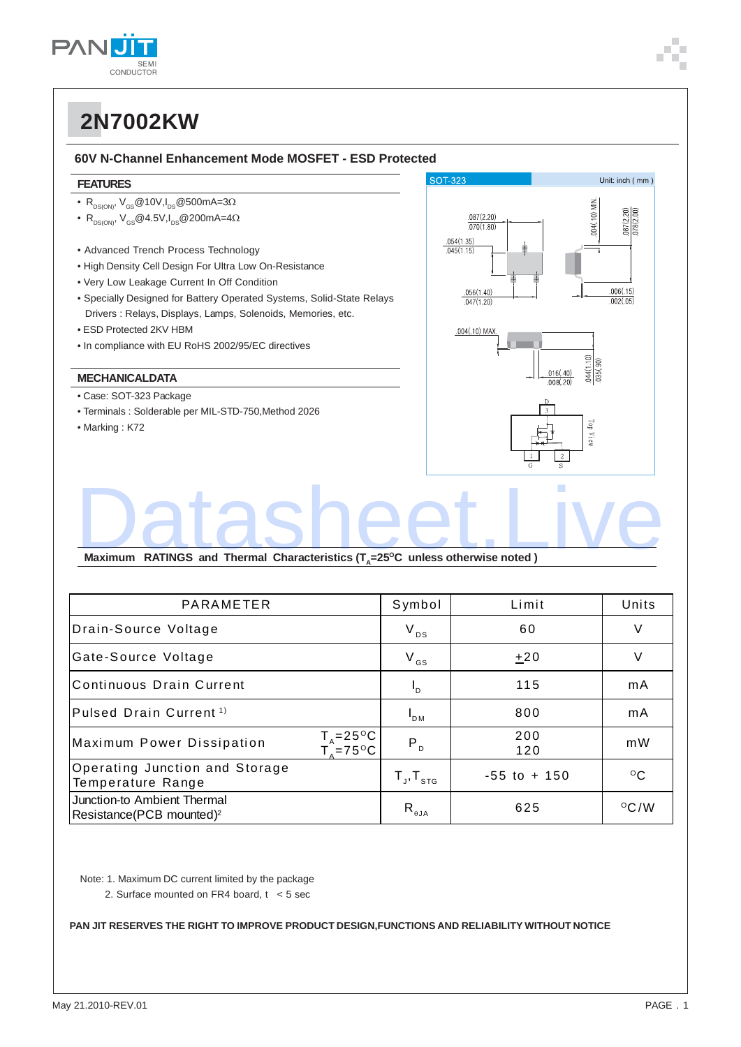

#### **60V N-Channel Enhancement Mode MOSFET - ESD Protected**

#### **FEATURES**

- $R_{DS(ON)}$ ,  $V_{GS}$ @10V, $I_{DS}$ @500mA=3 $\Omega$
- $R_{DS(ON)}$ ,  $V_{GS}$ @4.5V, $I_{DS}$ @200mA=4 $\Omega$
- Advanced Trench Process Technology
- High Density Cell Design For Ultra Low On-Resistance
- Very Low Leakage Current In Off Condition
- Specially Designed for Battery Operated Systems, Solid-State Relays Drivers : Relays, Displays, Lamps, Solenoids, Memories, etc.
- ESD Protected 2KV HBM
- In compliance with EU RoHS 2002/95/EC directives

### **MECHANICALDATA**

- Case: SOT-323 Package
- Terminals : Solderable per MIL-STD-750,Method 2026
- Marking : K72



# Maximum RATINGS and Thermal Characteristics (T<sub>A</sub>=25<sup>o</sup>C unless otherwise noted )

| PARAMETER                                                           | Symbol                              | Limit           | Units           |
|---------------------------------------------------------------------|-------------------------------------|-----------------|-----------------|
| Drain-Source Voltage                                                | $V_{DS}$                            | 60              | V               |
| Gate-Source Voltage                                                 | $V_{GS}$                            | $+20$           | V               |
| Continuous Drain Current                                            | $P_{D}$                             | 115             | mA              |
| Pulsed Drain Current <sup>1)</sup>                                  | $\mathsf{I}_{\mathsf{DM}}$          | 800             | mA              |
| $T_A = 25^{\circ}C_B$<br>Maximum Power Dissipation<br>$T_{s}$ =75°C | P <sub>D</sub>                      | 200<br>120      | mW              |
| Operating Junction and Storage<br>Temperature Range                 | $T_{J}$ , $T_{STG}$                 | $-55$ to $+150$ | $\rm ^{\circ}C$ |
| Junction-to Ambient Thermal<br>Resistance(PCB mounted) <sup>2</sup> | $\mathsf{R}_{_{\theta\mathsf{JA}}}$ | 625             | $\rm ^{O}C/W$   |

Note: 1. Maximum DC current limited by the package

2. Surface mounted on FR4 board, t < 5 sec

**PAN JIT RESERVES THE RIGHT TO IMPROVE PRODUCT DESIGN,FUNCTIONS AND RELIABILITY WITHOUT NOTICE**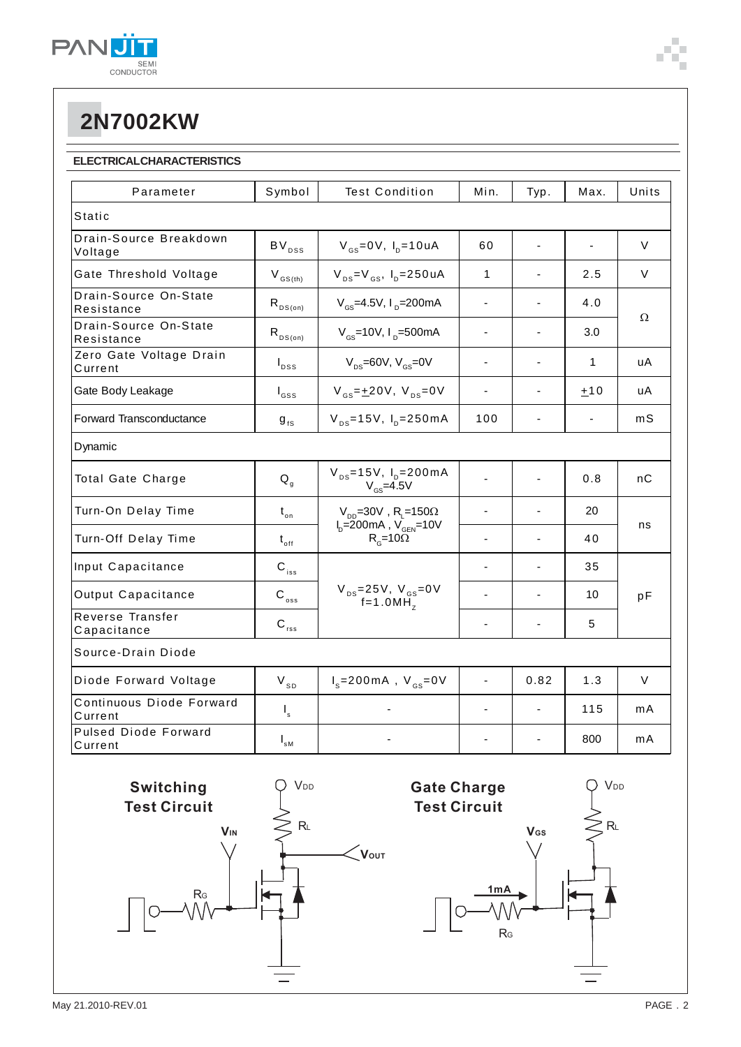

## **ELECTRICAL CHARACTERISTICS**

| Parameter                              | Symbol                     | <b>Test Condition</b>                                                                                     | Min.                     | Typ.                     | Max.                         | Units |
|----------------------------------------|----------------------------|-----------------------------------------------------------------------------------------------------------|--------------------------|--------------------------|------------------------------|-------|
| Static                                 |                            |                                                                                                           |                          |                          |                              |       |
| Drain-Source Breakdown<br>Voltage      | $BV_{DSS}$                 | $V_{\text{gs}} = 0V$ , $I_{\text{p}} = 10 uA$                                                             | 60                       |                          |                              | V     |
| Gate Threshold Voltage                 | $V_{\text{GS(th)}}$        | $V_{DS} = V_{GS}$ , $I_D = 250 uA$                                                                        | $\mathbf{1}$             |                          | 2.5                          | V     |
| Drain-Source On-State<br>Resistance    | $R_{DS(on)}$               | $V_{\text{gs}} = 4.5V, I_{\text{p}} = 200 \text{mA}$                                                      | ٠                        |                          | 4.0                          | Ω     |
| Drain-Source On-State<br>Resistance    | $R_{DS(on)}$               | $V_{gs}$ =10V, $I_{p}$ =500mA                                                                             | $\blacksquare$           |                          | 3.0                          |       |
| Zero Gate Voltage Drain<br>Current     | $I_{DSS}$                  | $V_{\text{ns}}$ =60V, $V_{\text{ns}}$ =0V                                                                 | $\blacksquare$           |                          | $\mathbf{1}$                 | uA    |
| Gate Body Leakage                      | $I_{GSS}$                  | $V_{gs} = \pm 20V$ , $V_{ps} = 0V$                                                                        | $\overline{\phantom{a}}$ |                          | ±10                          | uА    |
| Forward Transconductance               | ${\bf g}_{\rm fs}$         | $V_{DS} = 15V$ , $I_{D} = 250mA$                                                                          | 100                      | $\overline{\phantom{a}}$ | $\qquad \qquad \blacksquare$ | mS    |
| Dynamic                                |                            |                                                                                                           |                          |                          |                              |       |
| Total Gate Charge                      | $Q_{q}$                    | $V_{DS} = 15V$ , $I_D = 200mA$<br>$V_{GS}$ =4.5V                                                          |                          |                          | 0.8                          | nС    |
| Turn-On Delay Time                     | $t_{\circ n}$              | $V_{DD}$ =30V, R <sub>L</sub> =150 $\Omega$<br>$I_{\rm p}$ =200mA, $V_{\rm GEN}$ =10V<br>$R_c = 10\Omega$ | $\overline{a}$           |                          | 20                           | ns    |
| Turn-Off Delay Time                    | $t_{\rm off}$              |                                                                                                           | $\blacksquare$           |                          | 40                           |       |
| Input Capacitance                      | $\mathbf{C}_{\text{iss}}$  | $V_{DS} = 25V, V_{GS} = 0V$<br>f=1.0MH <sub>z</sub>                                                       |                          |                          | 35                           | pF    |
| Output Capacitance                     | $\mathbf{C}_{\, \rm{oss}}$ |                                                                                                           | $\blacksquare$           |                          | 10                           |       |
| Reverse Transfer<br>Capacitance        | $C_{\text{rss}}$           |                                                                                                           | $\blacksquare$           |                          | 5                            |       |
| Source-Drain Diode                     |                            |                                                                                                           |                          |                          |                              |       |
| Diode Forward Voltage                  | $V_{SD}$                   | $I_s = 200 \text{ mA}$ , $V_{gs} = 0V$                                                                    | $\blacksquare$           | 0.82                     | 1.3                          | V     |
| Continuous Diode Forward<br>Current    | $\mathsf{I}_\mathsf{s}$    |                                                                                                           |                          |                          | 115                          | mA    |
| <b>Pulsed Diode Forward</b><br>Current | $I_{\rm sM}$               |                                                                                                           |                          |                          | 800                          | mA    |



**V**<sub>DD</sub>

RL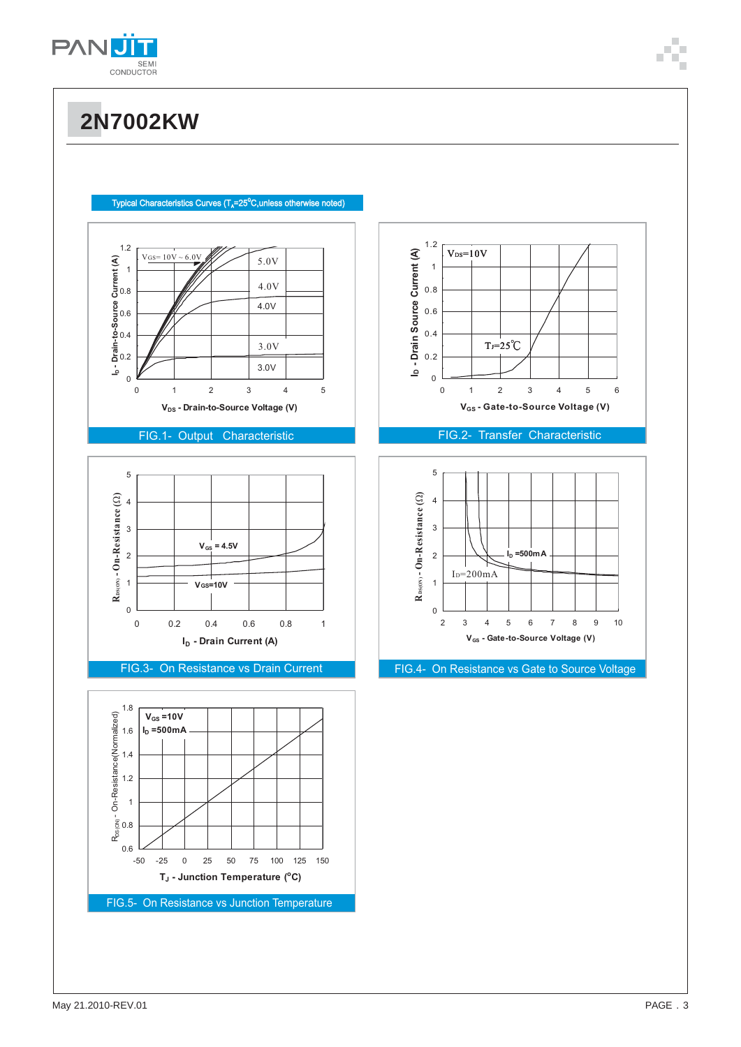





## FIG.2- Transfer Characteristic

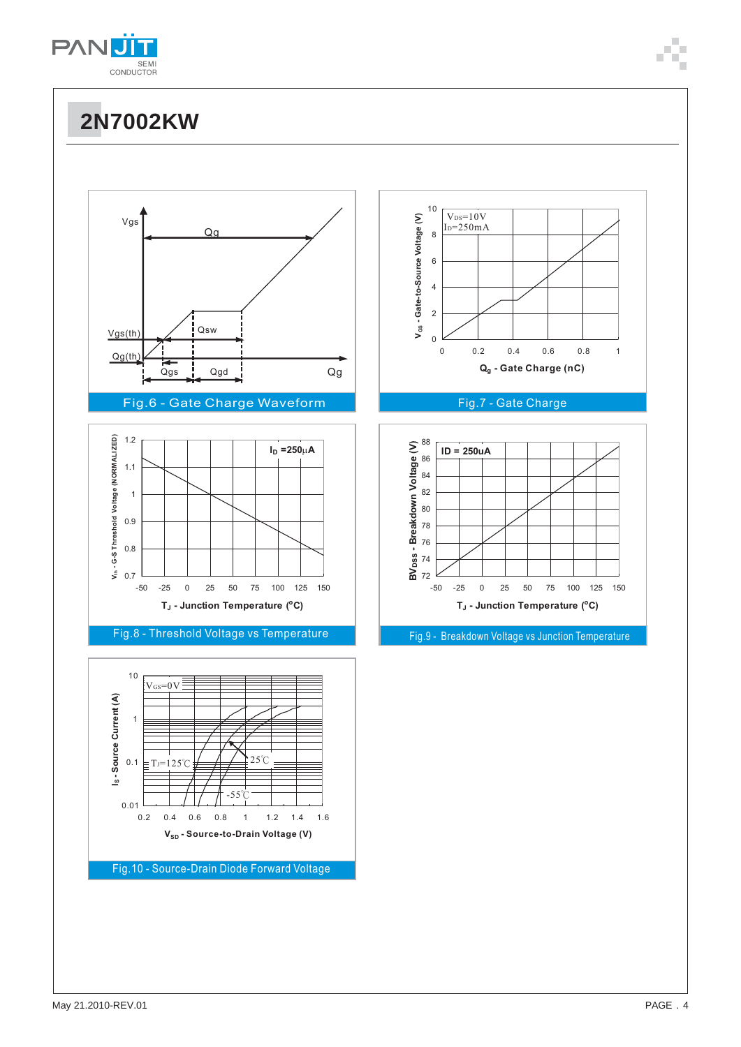